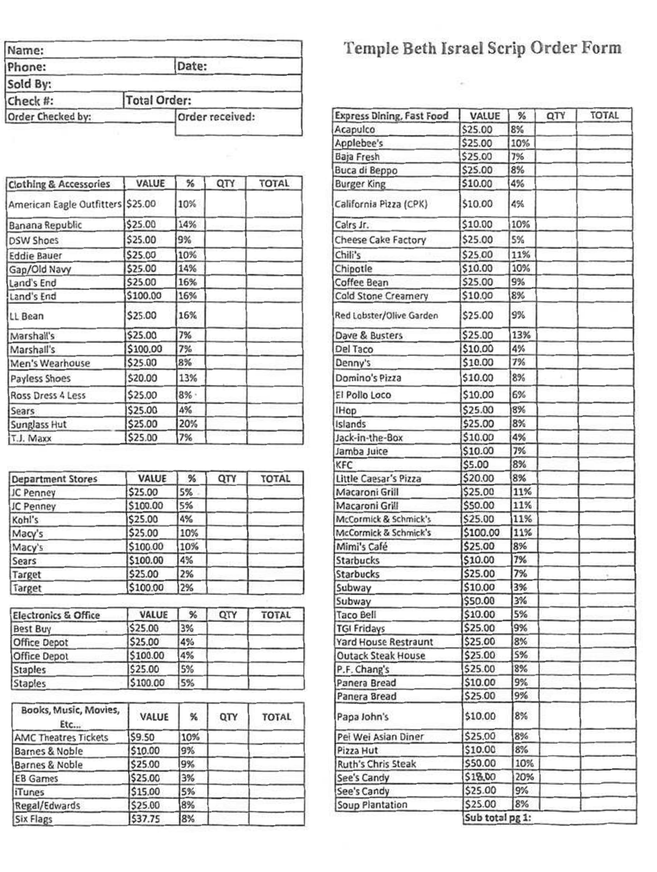| Name:             |                     |
|-------------------|---------------------|
| Phone:            | Date:               |
| Sold By:          |                     |
| Check #:          | <b>Total Order:</b> |
| Order Checked by: | Order received:     |
|                   |                     |

| <b>Clothing &amp; Accessories</b> | VALUE    | %    | QTY | <b>TOTAL</b> |
|-----------------------------------|----------|------|-----|--------------|
| American Eagle Outfitters \$25.00 |          | 10%  |     |              |
| <b>Banana Republic</b>            | \$25.00  | 14%  |     |              |
| <b>DSW Shoes</b>                  | \$25.00  | 9%   |     |              |
| <b>Eddie Bauer</b>                | \$25.00  | 10%  |     |              |
| Gap/Old Navy                      | \$25.00  | 14%  |     |              |
| Land's End                        | \$25.00  | 16%  |     |              |
| Land's End                        | \$100.00 | 16%  |     |              |
| LL Bean                           | \$25.00  | 16%  |     |              |
| Marshall's                        | \$25.00  | 7%   |     |              |
| Marshall's                        | \$100.00 | 7%   |     |              |
| Men's Wearhouse                   | \$25.00  | 8%   |     |              |
| <b>Payless Shoes</b>              | \$20.00  | 13%  |     |              |
| Ross Dress 4 Less                 | \$25.00  | 8% - |     |              |
| <b>Sears</b>                      | \$25.00  | 4%   |     |              |
| <b>Sunglass Hut</b>               | \$25.00  | 20%  |     |              |
| T.J. Maxx                         | \$25.00  | 7%   |     |              |

| <b>Department Stores</b> | VALUE    | %   | QTY | <b>TOTAL</b> |
|--------------------------|----------|-----|-----|--------------|
| JC Penney                | \$25.00  | 5%  |     |              |
| JC Penney                | \$100.00 | 5%  |     |              |
| Kohl's                   | \$25.00  | 4%  |     |              |
| Macy's                   | \$25.00  | 10% |     |              |
| Macy's                   | \$100.00 | 10% |     |              |
| Sears                    | \$100.00 | 4%  |     |              |
| Target                   | \$25.00  | 2%  |     |              |
| Target                   | \$100.00 | 2%  |     |              |

| Electronics & Office | VALUE    | %  | QTY | <b>TOTAL</b> |
|----------------------|----------|----|-----|--------------|
| <b>Best Buy</b>      | \$25.00  | 3% |     |              |
| <b>Office Depot</b>  | \$25.00  | 4% |     |              |
| <b>Office Depot</b>  | \$100.00 | 4% |     |              |
| <b>Staples</b>       | \$25.00  | 5% |     |              |
| Staples              | \$100.00 | 5% |     |              |

| Books, Music, Movies,<br>EtC | VALUE   | %   | QTY | <b>TOTAL</b> |
|------------------------------|---------|-----|-----|--------------|
| <b>AMC Theatres Tickets</b>  | \$9.50  | 10% |     |              |
| Barnes & Noble               | \$10.00 | 9%  |     |              |
| <b>Barnes &amp; Noble</b>    | \$25.00 | 9%  |     |              |
| <b>EB Games</b>              | \$25.00 | 3%  |     |              |
| <b>iTunes</b>                | \$15.00 | 5%  |     |              |
| Regal/Edwards                | \$25.00 | 8%  |     |              |
| <b>Six Flags</b>             | \$37.75 | 8%  |     |              |

## Temple Beth Israel Scrip Order Form

÷

| <b>Express Dining, Fast Food</b> | VALUE           | %   | QTY | <b>TOTAL</b> |
|----------------------------------|-----------------|-----|-----|--------------|
| Acapulco                         | \$25.00         | 8%  |     |              |
| Applebee's                       | \$25.00         | 10% |     |              |
| Baja Fresh                       | \$25.00         | 7%  |     |              |
| Buca di Beppo                    | \$25.00         | 8%  |     |              |
| <b>Burger King</b>               | \$10.00         | 4%  |     |              |
| California Pizza (CPK)           | \$10.00         | 4%  |     |              |
| Calrs Jr.                        | \$10.00         | 10% |     |              |
| Cheese Cake Factory              | \$25.00         | 5%  |     |              |
| Chili's                          | \$25.00         | 11% |     |              |
| Chipotle                         | \$10.00         | 10% |     |              |
| Coffee Bean                      | \$25.00         | 9%  |     |              |
| Cold Stone Creamery              | \$10.00         | 8%  |     |              |
| Red Lobster/Olive Garden         | \$25.00         | 9%  |     |              |
|                                  | \$25.00         | 13% |     |              |
| Dave & Busters                   | \$10.00         | 4%  |     |              |
| Del Taco                         |                 | 7%  |     |              |
| Denny's                          | \$10.00         |     |     |              |
| Domino's Pizza                   | \$10.00         | 8%  |     |              |
| El Pollo Loco                    | \$10.00         | 6%  |     |              |
| <b>IHop</b>                      | \$25.00         | 8%  |     |              |
| Islands                          | \$25.00         | 8%  |     |              |
| Jack-in-the-Box                  | \$10.00         | 4%  |     |              |
| Jamba Juice                      | \$10.00         | 7%  |     |              |
| KFC                              | \$5.00          | 8%  |     |              |
| Little Caesar's Pizza            | \$20.00         | 8%  |     |              |
| Macaroni Grill                   | \$25.00         | 11% |     |              |
| Macaroni Grill                   | \$50.00         | 11% |     |              |
| McCormick & Schmick's            | \$25.00         | 11% |     |              |
| McCormick & Schmick's            | \$100.00        | 11% |     |              |
| Mimi's Café                      | \$25.00         | 8%  |     |              |
| <b>Starbucks</b>                 | \$10.00         | 7%  |     |              |
| Starbucks                        | \$25.00         | 7%  |     |              |
| Subway                           | \$10.00         | 3%  |     |              |
| Subway                           | \$50.00         | 3%  |     |              |
| <b>Taco Bell</b>                 | \$10.00         | 5%  |     |              |
| <b>TGI Fridays</b>               | \$25.00         | 9%  |     |              |
| Yard House Restraunt             | \$25.00         | 8%  |     |              |
| <b>Outack Steak House</b>        | \$25.00         | 5%  |     |              |
| P.F. Chang's                     | \$25.00         | 8%  |     |              |
| Panera Bread                     | \$10.00         | 9%  |     |              |
| Panera Bread                     | \$25.00         | 9%  |     |              |
| Papa John's                      | \$10.00         | 8%  |     |              |
| Pei Wei Asian Diner              | \$25.00         | 8%  |     |              |
| Pizza Hut                        | \$10.00         | 8%  |     |              |
| <b>Ruth's Chris Steak</b>        | \$50.00         | 10% |     |              |
| See's Candy                      | \$18,00         | 20% |     |              |
| See's Candy                      | \$25.00         | 9%  |     |              |
| Soup Plantation                  | \$25.00         | 8%  |     |              |
|                                  | Sub total pg 1: |     |     |              |